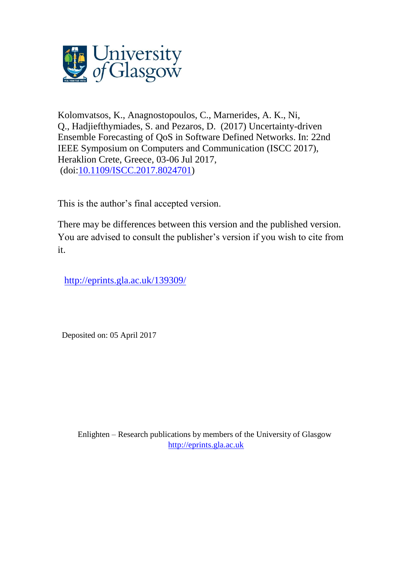

Kolomvatsos, K., Anagnostopoulos, C., Marnerides, A. K., Ni, Q., Hadjiefthymiades, S. and Pezaros, D. (2017) Uncertainty-driven Ensemble Forecasting of QoS in Software Defined Networks. In: 22nd IEEE Symposium on Computers and Communication (ISCC 2017), Heraklion Crete, Greece, 03-06 Jul 2017, (doi[:10.1109/ISCC.2017.8024701\)](http://dx.doi.org/10.1109/ISCC.2017.8024701)

This is the author's final accepted version.

There may be differences between this version and the published version. You are advised to consult the publisher's version if you wish to cite from it.

<http://eprints.gla.ac.uk/139309/>

Deposited on: 05 April 2017

Enlighten – Research publications by members of the University of Glasgow [http://eprints.gla.ac.uk](http://eprints.gla.ac.uk/)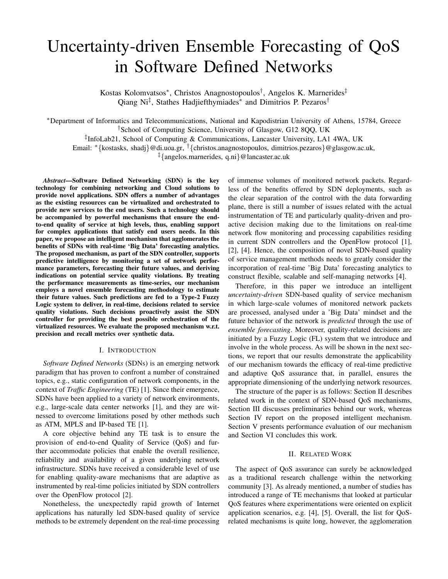# Uncertainty-driven Ensemble Forecasting of QoS in Software Defined Networks

Kostas Kolomvatsos<sup>∗</sup> , Christos Anagnostopoulos† , Angelos K. Marnerides‡ Qiang Ni<sup>‡</sup>, Stathes Hadjiefthymiades<sup>\*</sup> and Dimitrios P. Pezaros<sup>†</sup>

<sup>∗</sup>Department of Informatics and Telecommunications, National and Kapodistrian University of Athens, 15784, Greece

†School of Computing Science, University of Glasgow, G12 8QQ, UK

‡ InfoLab21, School of Computing & Communications, Lancaster University, LA1 4WA, UK

Email: <sup>∗</sup>{kostasks, shadj}@di.uoa.gr, †{christos.anagnostopoulos, dimitrios.pezaros}@glasgow.ac.uk,

‡{angelos.marnerides, q.ni}@lancaster.ac.uk

*Abstract*—Software Defined Networking (SDN) is the key technology for combining networking and Cloud solutions to provide novel applications. SDN offers a number of advantages as the existing resources can be virtualized and orchestrated to provide new services to the end users. Such a technology should be accompanied by powerful mechanisms that ensure the endto-end quality of service at high levels, thus, enabling support for complex applications that satisfy end users needs. In this paper, we propose an intelligent mechanism that agglomerates the benefits of SDNs with real-time 'Big Data' forecasting analytics. The proposed mechanism, as part of the SDN controller, supports predictive intelligence by monitoring a set of network performance parameters, forecasting their future values, and deriving indications on potential service quality violations. By treating the performance measurements as time-series, our mechanism employs a novel ensemble forecasting methodology to estimate their future values. Such predictions are fed to a Type-2 Fuzzy Logic system to deliver, in real-time, decisions related to service quality violations. Such decisions proactively assist the SDN controller for providing the best possible orchestration of the virtualized resources. We evaluate the proposed mechanism w.r.t. precision and recall metrics over synthetic data.

# I. INTRODUCTION

*Software Defined Networks* (SDNs) is an emerging network paradigm that has proven to confront a number of constrained topics, e.g., static configuration of network components, in the context of *Traffic Engineering* (TE) [1]. Since their emergence, SDNs have been applied to a variety of network environments, e.g., large-scale data center networks [1], and they are witnessed to overcome limitations posed by other methods such as ATM, MPLS and IP-based TE [1].

A core objective behind any TE task is to ensure the provision of end-to-end Quality of Service (QoS) and further accommodate policies that enable the overall resilience, reliability and availability of a given underlying network infrastructure. SDNs have received a considerable level of use for enabling quality-aware mechanisms that are adaptive as instrumented by real-time policies initiated by SDN controllers over the OpenFlow protocol [2].

Nonetheless, the unexpectedly rapid growth of Internet applications has naturally led SDN-based quality of service methods to be extremely dependent on the real-time processing

of immense volumes of monitored network packets. Regardless of the benefits offered by SDN deployments, such as the clear separation of the control with the data forwarding plane, there is still a number of issues related with the actual instrumentation of TE and particularly quality-driven and proactive decision making due to the limitations on real-time network flow monitoring and processing capabilities residing in current SDN controllers and the OpenFlow protocol [1], [2], [4]. Hence, the composition of novel SDN-based quality of service management methods needs to greatly consider the incorporation of real-time 'Big Data' forecasting analytics to construct flexible, scalable and self-managing networks [4].

Therefore, in this paper we introduce an intelligent *uncertainty-driven* SDN-based quality of service mechanism in which large-scale volumes of monitored network packets are processed, analysed under a 'Big Data' mindset and the future behavior of the network is *predicted* through the use of *ensemble forecasting*. Moreover, quality-related decisions are initiated by a Fuzzy Logic (FL) system that we introduce and involve in the whole process. As will be shown in the next sections, we report that our results demonstrate the applicability of our mechanism towards the efficacy of real-time predictive and adaptive QoS assurance that, in parallel, ensures the appropriate dimensioning of the underlying network resources.

The structure of the paper is as follows: Section II describes related work in the context of SDN-based QoS mechanisms, Section III discusses preliminaries behind our work, whereas Section IV report on the proposed intelligent mechanism. Section V presents performance evaluation of our mechanism and Section VI concludes this work.

# II. RELATED WORK

The aspect of QoS assurance can surely be acknowledged as a traditional research challenge within the networking community [3]. As already mentioned, a number of studies has introduced a range of TE mechanisms that looked at particular QoS features where experimentations were oriented on explicit application scenarios, e.g. [4], [5]. Overall, the list for QoSrelated mechanisms is quite long, however, the agglomeration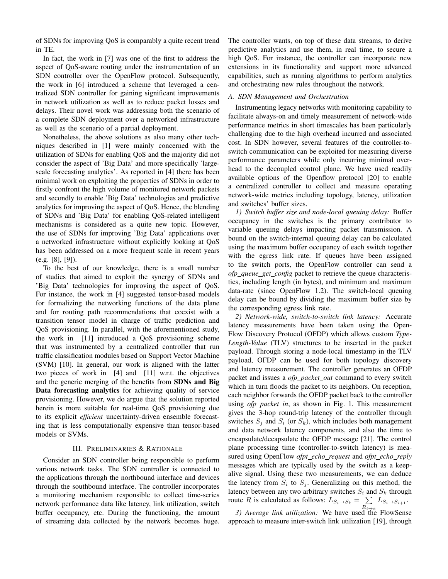of SDNs for improving QoS is comparably a quite recent trend in TE.

In fact, the work in [7] was one of the first to address the aspect of QoS-aware routing under the instrumentation of an SDN controller over the OpenFlow protocol. Subsequently, the work in [6] introduced a scheme that leveraged a centralized SDN controller for gaining significant improvements in network utilization as well as to reduce packet losses and delays. Their novel work was addressing both the scenario of a complete SDN deployment over a networked infrastructure as well as the scenario of a partial deployment.

Nonetheless, the above solutions as also many other techniques described in [1] were mainly concerned with the utilization of SDNs for enabling QoS and the majority did not consider the aspect of 'Big Data' and more specifically 'largescale forecasting analytics'. As reported in [4] there has been minimal work on exploiting the properties of SDNs in order to firstly confront the high volume of monitored network packets and secondly to enable 'Big Data' technologies and predictive analytics for improving the aspect of QoS. Hence, the blending of SDNs and 'Big Data' for enabling QoS-related intelligent mechanisms is considered as a quite new topic. However, the use of SDNs for improving 'Big Data' applications over a networked infrastructure without explicitly looking at QoS has been addressed on a more frequent scale in recent years (e.g. [8], [9]).

To the best of our knowledge, there is a small number of studies that aimed to exploit the synergy of SDNs and 'Big Data' technologies for improving the aspect of QoS. For instance, the work in [4] suggested tensor-based models for formalizing the networking functions of the data plane and for routing path recommendations that coexist with a transition tensor model in charge of traffic prediction and QoS provisioning. In parallel, with the aforementioned study, the work in [11] introduced a QoS provisioning scheme that was instrumented by a centralized controller that run traffic classification modules based on Support Vector Machine (SVM) [10]. In general, our work is aligned with the latter two pieces of work in [4] and [11] w.r.t. the objectives and the generic merging of the benefits from SDNs and Big Data forecasting analytics for achieving quality of service provisioning. However, we do argue that the solution reported herein is more suitable for real-time QoS provisioning due to its explicit *efficient* uncertainty-driven ensemble forecasting that is less computationally expensive than tensor-based models or SVMs.

# III. PRELIMINARIES & RATIONALE

Consider an SDN controller being responsible to perform various network tasks. The SDN controller is connected to the applications through the northbound interface and devices through the southbound interface. The controller incorporates a monitoring mechanism responsible to collect time-series network performance data like latency, link utilization, switch buffer occupancy, etc. During the functioning, the amount of streaming data collected by the network becomes huge. The controller wants, on top of these data streams, to derive predictive analytics and use them, in real time, to secure a high QoS. For instance, the controller can incorporate new extensions in its functionality and support more advanced capabilities, such as running algorithms to perform analytics and orchestrating new rules throughout the network.

# *A. SDN Management and Orchestration*

Instrumenting legacy networks with monitoring capability to facilitate always-on and timely measurement of network-wide performance metrics in short timescales has been particularly challenging due to the high overhead incurred and associated cost. In SDN however, several features of the controller-toswitch communication can be exploited for measuring diverse performance parameters while only incurring minimal overhead to the decoupled control plane. We have used readily available options of the Openflow protocol [20] to enable a centralized controller to collect and measure operating network-wide metrics including topology, latency, utilization and switches' buffer sizes.

*1) Switch buffer size and node-local queuing delay:* Buffer occupancy in the switches is the primary contributor to variable queuing delays impacting packet transmission. A bound on the switch-internal queuing delay can be calculated using the maximum buffer occupancy of each switch together with the egress link rate. If queues have been assigned to the switch ports, the OpenFlow controller can send a *ofp queue get config* packet to retrieve the queue characteristics, including length (in bytes), and minimum and maximum data-rate (since OpenFlow 1.2). The switch-local queuing delay can be bound by dividing the maximum buffer size by the corresponding egress link rate.

*2) Network-wide, switch-to-switch link latency:* Accurate latency measurements have been taken using the Open-Flow Discovery Protocol (OFDP) which allows custom *Type-Length-Value* (TLV) structures to be inserted in the packet payload. Through storing a node-local timestamp in the TLV payload, OFDP can be used for both topology discovery and latency measurement. The controller generates an OFDP packet and issues a *ofp packet out* command to every switch which in turn floods the packet to its neighbors. On reception, each neighbor forwards the OFDP packet back to the controller using *ofp\_packet\_in*, as shown in Fig. 1. This measurement gives the 3-hop round-trip latency of the controller through switches  $S_j$  and  $S_i$  (or  $S_k$ ), which includes both management and data network latency components, and also the time to encapsulate/decapsulate the OFDP message [21]. The control plane processing time (controller-to-switch latency) is measured using OpenFlow *ofpt echo request* and *ofpt echo reply* messages which are typically used by the switch as a keepalive signal. Using these two measurements, we can deduce the latency from  $S_i$  to  $S_j$ . Generalizing on this method, the latency between any two arbitrary switches  $S_i$  and  $S_k$  through route R is calculated as follows:  $L_{S_i \to S_k} = \sum$  $\sum_{R_{i\rightarrow k}} L_{S_i\rightarrow S_{i+1}}.$ 

*3) Average link utilization:* We have used the FlowSense approach to measure inter-switch link utilization [19], through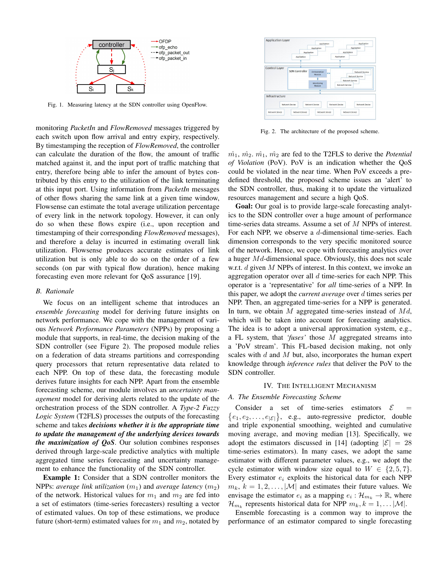

Fig. 1. Measuring latency at the SDN controller using OpenFlow.

monitoring *PacketIn* and *FlowRemoved* messages triggered by each switch upon flow arrival and entry expiry, respectively. By timestamping the reception of *FlowRemoved*, the controller can calculate the duration of the flow, the amount of traffic matched against it, and the input port of traffic matching that entry, therefore being able to infer the amount of bytes contributed by this entry to the utilization of the link terminating at this input port. Using information from *PacketIn* messages of other flows sharing the same link at a given time window, Flowsense can estimate the total average utilization percentage of every link in the network topology. However, it can only do so when these flows expire (i.e., upon reception and timestamping of their corresponding *FlowRemoved* messages), and therefore a delay is incurred in estimating overall link utilization. Flowsense produces accurate estimates of link utilization but is only able to do so on the order of a few seconds (on par with typical flow duration), hence making forecasting even more relevant for QoS assurance [19].

#### *B. Rationale*

We focus on an intelligent scheme that introduces an *ensemble forecasting* model for deriving future insights on network performance. We cope with the management of various *Network Performance Parameters* (NPPs) by proposing a module that supports, in real-time, the decision making of the SDN controller (see Figure 2). The proposed module relies on a federation of data streams partitions and corresponding query processors that return representative data related to each NPP. On top of these data, the forecasting module derives future insights for each NPP. Apart from the ensemble forecasting scheme, our module involves an *uncertainty management* model for deriving alerts related to the update of the orchestration process of the SDN controller. A *Type-2 Fuzzy Logic System* (T2FLS) processes the outputs of the forecasting scheme and takes *decisions whether it is the appropriate time to update the management of the underlying devices towards the maximization of QoS*. Our solution combines responses derived through large-scale predictive analytics with multiple aggregated time series forecasting and uncertainty management to enhance the functionality of the SDN controller.

Example 1: Consider that a SDN controller monitors the NPPs: *average link utilization*  $(m_1)$  and *average latency*  $(m_2)$ of the network. Historical values for  $m_1$  and  $m_2$  are fed into a set of estimators (time-series forecasters) resulting a vector of estimated values. On top of these estimations, we produce future (short-term) estimated values for  $m_1$  and  $m_2$ , notated by



Fig. 2. The architecture of the proposed scheme.

 $m_1$ ,  $m_2$ .  $m_1$ ,  $m_2$  are fed to the T2FLS to derive the *Potential of Violation* (PoV). PoV is an indication whether the QoS could be violated in the near time. When PoV exceeds a predefined threshold, the proposed scheme issues an 'alert' to the SDN controller, thus, making it to update the virtualized resources management and secure a high QoS.

Goal: Our goal is to provide large-scale forecasting analytics to the SDN controller over a huge amount of performance time-series data streams. Assume a set of M NPPs of interest. For each NPP, we observe a d-dimensional time-series. Each dimension corresponds to the very specific monitored source of the network. Hence, we cope with forecasting analytics over a huger  $Md$ -dimensional space. Obviously, this does not scale w.r.t.  $d$  given  $M$  NPPs of interest. In this context, we invoke an aggregation operator over all  $d$  time-series for each NPP. This operator is a 'representative' for *all* time-series of a NPP. In this paper, we adopt the *current average* over d times series per NPP. Then, an aggregated time-series for a NPP is generated. In turn, we obtain  $M$  aggregated time-series instead of  $Md$ , which will be taken into account for forecasting analytics. The idea is to adopt a universal approximation system, e.g., a FL system, that *'fuses'* those M aggregated streams into a 'PoV stream'. This FL-based decision making, not only scales with  $d$  and  $M$  but, also, incorporates the human expert knowledge through *inference rules* that deliver the PoV to the SDN controller.

### IV. THE INTELLIGENT MECHANISM

### *A. The Ensemble Forecasting Scheme*

Consider a set of time-series estimators  $\mathcal{E}$  =  $\{e_1, e_2, \ldots, e_{|\mathcal{E}|}\}\$ , e.g., auto-regressive predictor, double and triple exponential smoothing, weighted and cumulative moving average, and moving median [13]. Specifically, we adopt the estimators discussed in [14] (adopting  $|\mathcal{E}| = 28$ time-series estimators). In many cases, we adopt the same estimator with different parameter values, e.g., we adopt the cycle estimator with window size equal to  $W \in \{2, 5, 7\}.$ Every estimator  $e_i$  exploits the historical data for each NPP  $m_k, k = 1, 2, \ldots, |\mathcal{M}|$  and estimates their future values. We envisage the estimator  $e_i$  as a mapping  $e_i : \mathcal{H}_{m_k} \to \mathbb{R}$ , where  $\mathcal{H}_{m_k}$  represents historical data for NPP  $m_k, k = 1, \dots |\mathcal{M}|$ .

Ensemble forecasting is a common way to improve the performance of an estimator compared to single forecasting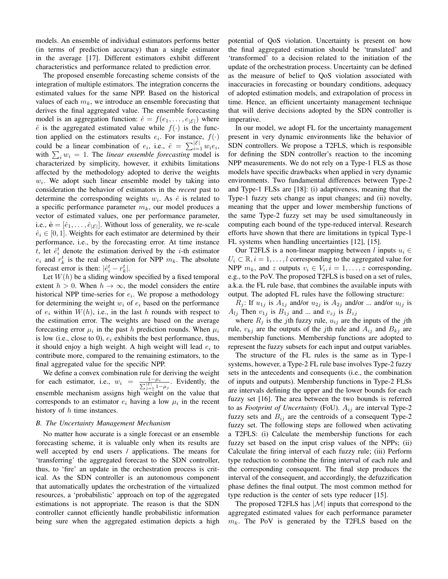models. An ensemble of individual estimators performs better (in terms of prediction accuracy) than a single estimator in the average [17]. Different estimators exhibit different characteristics and performance related to prediction error.

The proposed ensemble forecasting scheme consists of the integration of multiple estimators. The integration concerns the estimated values for the same NPP. Based on the historical values of each  $m_k$ , we introduce an ensemble forecasting that derives the final aggregated value. The ensemble forecasting model is an aggregation function:  $\hat{e} = f(e_1, \dots, e_{|\mathcal{E}|})$  where  $\hat{e}$  is the aggregated estimated value while  $f(\cdot)$  is the function applied on the estimators results  $e_i$ . For instance,  $f(\cdot)$ could be a linear combination of  $e_i$ , i.e.,  $\hat{e} = \sum_{i=1}^{|\mathcal{E}|} w_i e_i$ , with  $\sum_i w_i = 1$ . The *linear ensemble forecasting* model is characterized by simplicity, however, it exhibits limitations affected by the methodology adopted to derive the weights  $w_i$ . We adopt such linear ensemble model by taking into consideration the behavior of estimators in the *recent* past to determine the corresponding weights  $w_i$ . As  $\hat{e}$  is related to a specific performance parameter  $m_k$ , our model produces a vector of estimated values, one per performance parameter, i.e.,  $\hat{\mathbf{e}} = [\hat{e}_1, \dots, \hat{e}_{|\mathcal{E}|}]$ . Without loss of generality, we re-scale  $\hat{e}_i \in [0, 1]$ . Weights for each estimator are determined by their performance, i.e., by the forecasting error. At time instance t, let  $\hat{e}_i^t$  denote the estimation derived by the *i*-th estimator  $e_i$  and  $r_k^t$  is the real observation for NPP  $m_k$ . The absolute forecast error is then:  $|\hat{e}_i^t - r_k^t|$ .

Let  $W(h)$  be a sliding window specified by a fixed temporal extent  $h > 0$ . When  $h \to \infty$ , the model considers the entire historical NPP time-series for  $e_i$ . We propose a methodology for determining the weight  $w_i$  of  $e_i$  based on the performance of  $e_i$  within  $W(h)$ , i.e., in the last h rounds with respect to the estimation error. The weights are based on the average forecasting error  $\mu_i$  in the past h prediction rounds. When  $\mu_i$ is low (i.e., close to 0),  $e_i$  exhibits the best performance, thus, it should enjoy a high weight. A high weight will lead  $e_i$  to contribute more, compared to the remaining estimators, to the final aggregated value for the specific NPP.

We define a convex combination rule for deriving the weight for each estimator, i.e.,  $w_i = \frac{1-\mu_i}{\sum_{j=1}^{\lfloor \frac{p}{2} \rfloor} 1-\mu_j}$ . Evidently, the ensemble mechanism assigns high weight on the value that corresponds to an estimator  $e_i$  having a low  $\mu_i$  in the recent history of  $h$  time instances.

# *B. The Uncertainty Management Mechanism*

No matter how accurate is a single forecast or an ensemble forecasting scheme, it is valuable only when its results are well accepted by end users / applications. The means for 'transferring' the aggregated forecast to the SDN controller, thus, to 'fire' an update in the orchestration process is critical. As the SDN controller is an autonomous component that automatically updates the orchestration of the virtualized resources, a 'probabilistic' approach on top of the aggregated estimations is not appropriate. The reason is that the SDN controller cannot efficiently handle probabilistic information being sure when the aggregated estimation depicts a high potential of QoS violation. Uncertainty is present on how the final aggregated estimation should be 'translated' and 'transformed' to a decision related to the initiation of the update of the orchestration process. Uncertainty can be defined as the measure of belief to QoS violation associated with inaccuracies in forecasting or boundary conditions, adequacy of adopted estimation models, and extrapolation of process in time. Hence, an efficient uncertainty management technique that will derive decisions adopted by the SDN controller is imperative.

In our model, we adopt FL for the uncertainty management present in very dynamic environments like the behavior of SDN controllers. We propose a T2FLS, which is responsible for defining the SDN controller's reaction to the incoming NPP measurements. We do not rely on a Type-1 FLS as those models have specific drawbacks when applied in very dynamic environments. Two fundamental differences between Type-2 and Type-1 FLSs are [18]: (i) adaptiveness, meaning that the Type-1 fuzzy sets change as input changes; and (ii) novelty, meaning that the upper and lower membership functions of the same Type-2 fuzzy set may be used simultaneously in computing each bound of the type-reduced interval. Research efforts have shown that there are limitations in typical Type-1 FL systems when handling uncertainties [12], [15].

Our T2FLS is a non-linear mapping between l inputs  $u_i \in$  $U_i \subset \mathbb{R}, i = 1, \ldots, l$  corresponding to the aggregated value for NPP  $m_k$ , and z outputs  $v_i \in V_i$ ,  $i = 1, ..., z$  corresponding, e.g., to the PoV. The proposed T2FLS is based on a set of rules, a.k.a. the FL rule base, that combines the available inputs with output. The adopted FL rules have the following structure:

 $R_j$ : If  $u_{1j}$  is  $A_{1j}$  and/or  $u_{2j}$  is  $A_{2j}$  and/or ... and/or  $u_{1j}$  is  $A_{lj}$  Then  $v_{1j}$  is  $B_{1j}$  and ... and  $v_{zj}$  is  $B_{zj}$ 

where  $R_j$  is the jth fuzzy rule,  $u_{ij}$  are the inputs of the jth rule,  $v_{kj}$  are the outputs of the jth rule and  $A_{ij}$  and  $B_{kj}$  are membership functions. Membership functions are adopted to represent the fuzzy subsets for each input and output variables.

The structure of the FL rules is the same as in Type-1 systems, however, a Type-2 FL rule base involves Type-2 fuzzy sets in the antecedents and consequents (i.e., the combination of inputs and outputs). Membership functions in Type-2 FLSs are intervals defining the upper and the lower bounds for each fuzzy set [16]. The area between the two bounds is referred to as *Footprint of Uncertainty* (FoU).  $A_{ij}$  are interval Type-2 fuzzy sets and  $B_{ij}$  are the centroids of a consequent Type-2 fuzzy set. The following steps are followed when activating a T2FLS: (i) Calculate the membership functions for each fuzzy set based on the input crisp values of the NPPs; (ii) Calculate the firing interval of each fuzzy rule; (iii) Perform type reduction to combine the firing interval of each rule and the corresponding consequent. The final step produces the interval of the consequent, and accordingly, the defuzzification phase defines the final output. The most common method for type reduction is the center of sets type reducer [15].

The proposed T2FLS has  $|\mathcal{M}|$  inputs that correspond to the aggregated estimated values for each performance parameter  $m_k$ . The PoV is generated by the T2FLS based on the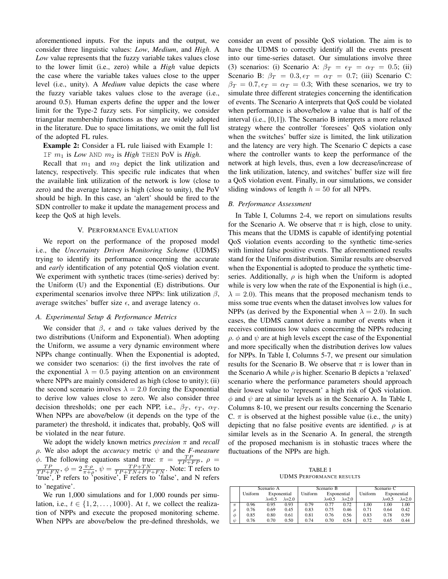aforementioned inputs. For the inputs and the output, we consider three linguistic values: *Low*, *Medium*, and *High*. A *Low* value represents that the fuzzy variable takes values close to the lower limit (i.e., zero) while a *High* value depicts the case where the variable takes values close to the upper level (i.e., unity). A *Medium* value depicts the case where the fuzzy variable takes values close to the average (i.e., around 0.5). Human experts define the upper and the lower limit for the Type-2 fuzzy sets. For simplicity, we consider triangular membership functions as they are widely adopted in the literature. Due to space limitations, we omit the full list of the adopted FL rules.

# Example 2: Consider a FL rule liaised with Example 1:

IF m<sup>1</sup> is *Low* AND m<sup>2</sup> is *High* THEN PoV is *High*.

Recall that  $m_1$  and  $m_2$  depict the link utilization and latency, respectively. This specific rule indicates that when the available link utilization of the network is low (close to zero) and the average latency is high (close to unity), the PoV should be high. In this case, an 'alert' should be fired to the SDN controller to make it update the management process and keep the QoS at high levels.

# V. PERFORMANCE EVALUATION

We report on the performance of the proposed model i.e., the *Uncertainty Driven Monitoring Scheme* (UDMS) trying to identify its performance concerning the accurate and *early* identification of any potential QoS violation event. We experiment with synthetic traces (time-series) derived by: the Uniform (U) and the Exponential (E) distributions. Our experimental scenarios involve three NPPs: link utilization  $\beta$ , average switches' buffer size  $\epsilon$ , and average latency  $\alpha$ .

# *A. Experimental Setup & Performance Metrics*

We consider that  $\beta$ ,  $\epsilon$  and  $\alpha$  take values derived by the two distributions (Uniform and Exponential). When adopting the Uniform, we assume a very dynamic environment where NPPs change continually. When the Exponential is adopted, we consider two scenarios: (i) the first involves the rate of the exponential  $\lambda = 0.5$  paying attention on an environment where NPPs are mainly considered as high (close to unity); (ii) the second scenario involves  $\lambda = 2.0$  forcing the Exponential to derive low values close to zero. We also consider three decision thresholds; one per each NPP, i.e.,  $\beta_T$ ,  $\epsilon_T$ ,  $\alpha_T$ . When NPPs are above/below (it depends on the type of the parameter) the threshold, it indicates that, probably, QoS will be violated in the near future.

We adopt the widely known metrics *precision* π and *recall*  $\rho$ . We also adopt the *accuracy* metric  $\psi$  and the *F-measure*  $\phi$ . The following equations stand true:  $\pi = \frac{TP}{TP + FP}$ ,  $\rho =$  $\frac{TP}{TP+FN}$ ,  $\phi = 2 \frac{\pi \cdot \rho}{\pi + \rho}$ ,  $\psi = \frac{TP+TN}{TP+TN+FP+FN}$ . Note: T refers to 'true', P refers to 'positive', F refers to 'false', and N refers to 'negative'.

We run 1,000 simulations and for 1,000 rounds per simulation, i.e.,  $t \in \{1, 2, \ldots, 1000\}$ . At t, we collect the realization of NPPs and execute the proposed monitoring scheme. When NPPs are above/below the pre-defined thresholds, we consider an event of possible QoS violation. The aim is to have the UDMS to correctly identify all the events present into our time-series dataset. Our simulations involve three (3) scenarios: (i) Scenario A:  $\beta_T = \epsilon_T = \alpha_T = 0.5$ ; (ii) Scenario B:  $\beta_T = 0.3, \epsilon_T = \alpha_T = 0.7$ ; (iii) Scenario C:  $\beta_T = 0.7, \epsilon_T = \alpha_T = 0.3$ ; With these scenarios, we try to simulate three different strategies concerning the identification of events. The Scenario A interprets that QoS could be violated when performance is above/below a value that is half of the interval (i.e., [0,1]). The Scenario B interprets a more relaxed strategy where the controller 'foresees' QoS violation only when the switches' buffer size is limited, the link utilization and the latency are very high. The Scenario C depicts a case where the controller wants to keep the performance of the network at high levels, thus, even a low decrease/increase of the link utilization, latency, and switches' buffer size will fire a QoS violation event. Finally, in our simulations, we consider sliding windows of length  $h = 50$  for all NPPs.

#### *B. Performance Assessment*

In Table I, Columns 2-4, we report on simulations results for the Scenario A. We observe that  $\pi$  is high, close to unity. This means that the UDMS is capable of identifying potential QoS violation events according to the synthetic time-series with limited false positive events. The aforementioned results stand for the Uniform distribution. Similar results are observed when the Exponential is adopted to produce the synthetic timeseries. Additionally,  $\rho$  is high when the Uniform is adopted while is very low when the rate of the Exponential is high (i.e.,  $\lambda = 2.0$ ). This means that the proposed mechanism tends to miss some true events when the dataset involves low values for NPPs (as derived by the Exponential when  $\lambda = 2.0$ ). In such cases, the UDMS cannot derive a number of events when it receives continuous low values concerning the NPPs reducing  $\rho$ .  $\phi$  and  $\psi$  are at high levels except the case of the Exponential and more specifically when the distribution derives low values for NPPs. In Table I, Columns 5-7, we present our simulation results for the Scenario B. We observe that  $\pi$  is lower than in the Scenario A while  $\rho$  is higher. Scenario B depicts a 'relaxed' scenario where the performance parameters should approach their lowest value to 'represent' a high risk of QoS violation.  $\phi$  and  $\psi$  are at similar levels as in the Scenario A. In Table I, Columns 8-10, we present our results concerning the Scenario C.  $\pi$  is observed at the highest possible value (i.e., the unity) depicting that no false positive events are identified.  $\rho$  is at similar levels as in the Scenario A. In general, the strength of the proposed mechanism is in stohastic traces where the fluctuations of the NPPs are high.

TABLE I UDMS PERFORMANCE RESULTS

|               | Scenario A |                 |                 | Scenario B |                 |                 | Scenario C |                 |                 |
|---------------|------------|-----------------|-----------------|------------|-----------------|-----------------|------------|-----------------|-----------------|
|               | Uniform    | Exponential     |                 | Uniform    | Exponential     |                 | Uniform    | Exponential     |                 |
|               |            | $\lambda = 0.5$ | $\lambda = 2.0$ |            | $\lambda = 0.5$ | $\lambda = 2.0$ |            | $\lambda = 0.5$ | $\lambda = 2.0$ |
| $\pi$         | 0.96       | 0.95            | 0.93            | 0.79       | 0.77            | 0.72            | 1.00       | 1.00            | 1.00            |
| $\mathcal{O}$ | 0.76       | 0.69            | 0.45            | 0.83       | 0.75            | 0.46            | 0.71       | 0.64            | 0.42            |
| Ó             | 0.85       | 0.80            | 0.61            | 0.81       | 0.76            | 0.56            | 0.83       | 0.78            | 0.59            |
| ψ             | 0.76       | 0.70            | 0.50            | 0.74       | 0.70            | 0.54            | 0.72       | 0.65            | 0.44            |